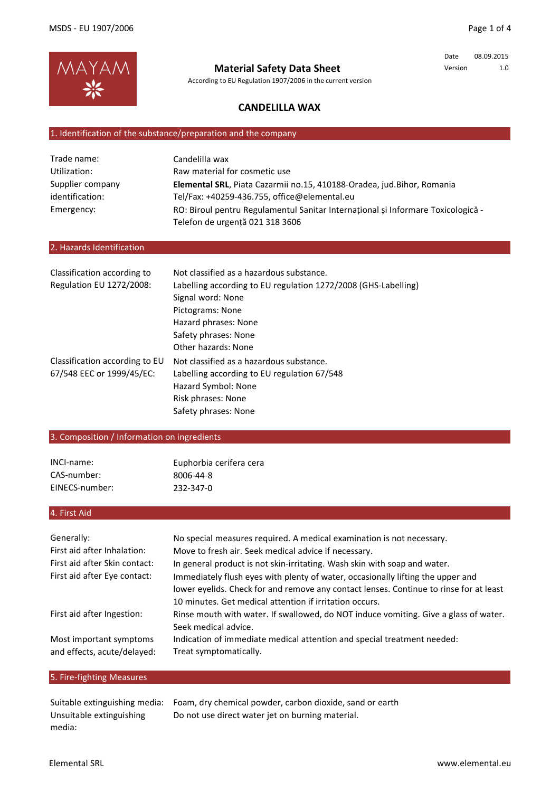

**Material Safety Data Sheet**

According to EU Regulation 1907/2006 in the current version

Date 08.09.2015 Version 1.0

## **CANDELILLA WAX**

## 1. Identification of the substance/preparation and the company

| Trade name:      | Candelilla wax                                                                   |
|------------------|----------------------------------------------------------------------------------|
| Utilization:     | Raw material for cosmetic use                                                    |
| Supplier company | Elemental SRL, Piata Cazarmii no.15, 410188-Oradea, jud.Bihor, Romania           |
| identification:  | Tel/Fax: +40259-436.755, office@elemental.eu                                     |
| Emergency:       | RO: Biroul pentru Regulamentul Sanitar International si Informare Toxicologica - |
|                  | Telefon de urgență 021 318 3606                                                  |

## 2. Hazards Identification

| Classification according to    | Not classified as a hazardous substance.                       |
|--------------------------------|----------------------------------------------------------------|
| Regulation EU 1272/2008:       | Labelling according to EU regulation 1272/2008 (GHS-Labelling) |
|                                | Signal word: None                                              |
|                                | Pictograms: None                                               |
|                                | Hazard phrases: None                                           |
|                                | Safety phrases: None                                           |
|                                | Other hazards: None                                            |
| Classification according to EU | Not classified as a hazardous substance.                       |
| 67/548 EEC or 1999/45/EC:      | Labelling according to EU regulation 67/548                    |
|                                | Hazard Symbol: None                                            |
|                                | Risk phrases: None                                             |
|                                | Safety phrases: None                                           |

## 3. Composition / Information on ingredients

| INCI-name:     | Euphorbia cerifera cera |
|----------------|-------------------------|
| CAS-number:    | 8006-44-8               |
| EINECS-number: | 232-347-0               |

# 4. First Aid

| Generally:<br>First aid after Inhalation:              | No special measures required. A medical examination is not necessary.<br>Move to fresh air. Seek medical advice if necessary.                                                                                                        |
|--------------------------------------------------------|--------------------------------------------------------------------------------------------------------------------------------------------------------------------------------------------------------------------------------------|
| First aid after Skin contact:                          | In general product is not skin-irritating. Wash skin with soap and water.                                                                                                                                                            |
| First aid after Eye contact:                           | Immediately flush eyes with plenty of water, occasionally lifting the upper and<br>lower eyelids. Check for and remove any contact lenses. Continue to rinse for at least<br>10 minutes. Get medical attention if irritation occurs. |
| First aid after Ingestion:                             | Rinse mouth with water. If swallowed, do NOT induce vomiting. Give a glass of water.<br>Seek medical advice.                                                                                                                         |
| Most important symptoms<br>and effects, acute/delayed: | Indication of immediate medical attention and special treatment needed:<br>Treat symptomatically.                                                                                                                                    |

# 5. Fire-fighting Measures

|                          | Suitable extinguishing media: Foam, dry chemical powder, carbon dioxide, sand or earth |
|--------------------------|----------------------------------------------------------------------------------------|
| Unsuitable extinguishing | Do not use direct water jet on burning material.                                       |
| media:                   |                                                                                        |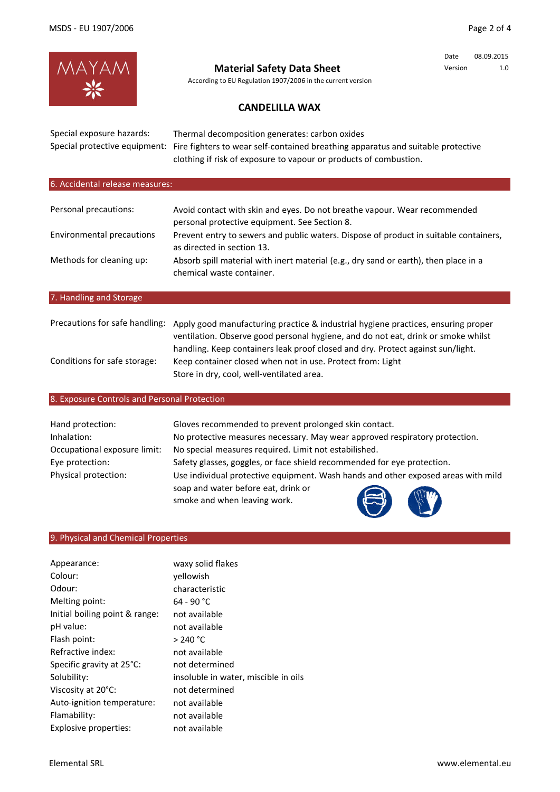Date 08.09.2015 Version 1.0



**Material Safety Data Sheet**

According to EU Regulation 1907/2006 in the current version

# **CANDELILLA WAX**

| Special exposure hazards:<br>Special protective equipment: | Thermal decomposition generates: carbon oxides<br>Fire fighters to wear self-contained breathing apparatus and suitable protective<br>clothing if risk of exposure to vapour or products of combustion.                                                   |
|------------------------------------------------------------|-----------------------------------------------------------------------------------------------------------------------------------------------------------------------------------------------------------------------------------------------------------|
| 6. Accidental release measures:                            |                                                                                                                                                                                                                                                           |
| Personal precautions:                                      | Avoid contact with skin and eyes. Do not breathe vapour. Wear recommended                                                                                                                                                                                 |
| Environmental precautions                                  | personal protective equipment. See Section 8.<br>Prevent entry to sewers and public waters. Dispose of product in suitable containers,<br>as directed in section 13.                                                                                      |
| Methods for cleaning up:                                   | Absorb spill material with inert material (e.g., dry sand or earth), then place in a<br>chemical waste container.                                                                                                                                         |
| 7. Handling and Storage                                    |                                                                                                                                                                                                                                                           |
|                                                            |                                                                                                                                                                                                                                                           |
| Precautions for safe handling:                             | Apply good manufacturing practice & industrial hygiene practices, ensuring proper<br>ventilation. Observe good personal hygiene, and do not eat, drink or smoke whilst<br>handling. Keep containers leak proof closed and dry. Protect against sun/light. |
| Conditions for safe storage:                               | Keep container closed when not in use. Protect from: Light                                                                                                                                                                                                |

## 8. Exposure Controls and Personal Protection

| Hand protection:             | Gloves recommended to prevent prolonged skin contact.                             |  |
|------------------------------|-----------------------------------------------------------------------------------|--|
| Inhalation:                  | No protective measures necessary. May wear approved respiratory protection.       |  |
| Occupational exposure limit: | No special measures required. Limit not estabilished.                             |  |
| Eye protection:              | Safety glasses, goggles, or face shield recommended for eye protection.           |  |
| Physical protection:         | Use individual protective equipment. Wash hands and other exposed areas with mild |  |
|                              | soap and water before eat, drink or                                               |  |
|                              | smoke and when leaving work.                                                      |  |

Store in dry, cool, well-ventilated area.

# 9. Physical and Chemical Properties

| Appearance:                    | waxy solid flakes                    |
|--------------------------------|--------------------------------------|
| Colour:                        | yellowish                            |
| Odour:                         | characteristic                       |
| Melting point:                 | 64 - 90 °C                           |
| Initial boiling point & range: | not available                        |
| pH value:                      | not available                        |
| Flash point:                   | > 240 °C                             |
| Refractive index:              | not available                        |
| Specific gravity at 25°C:      | not determined                       |
| Solubility:                    | insoluble in water, miscible in oils |
| Viscosity at 20°C:             | not determined                       |
| Auto-ignition temperature:     | not available                        |
| Flamability:                   | not available                        |
| Explosive properties:          | not available                        |

**DETA**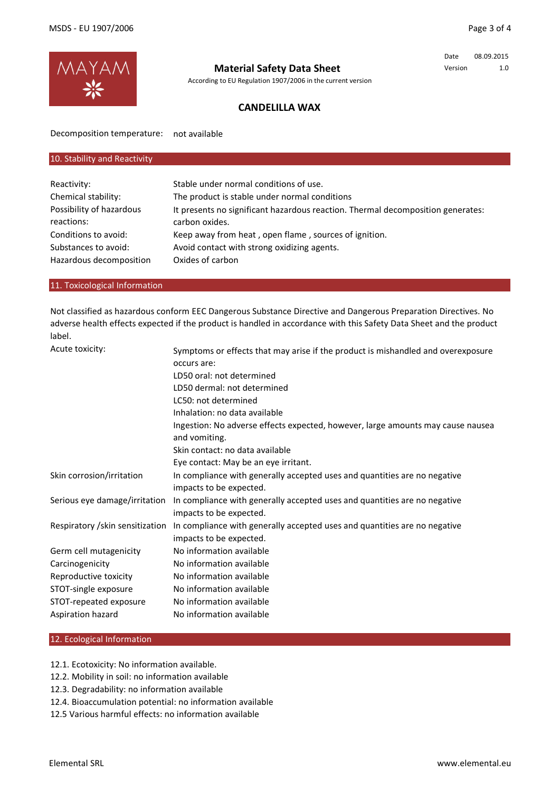

# **Material Safety Data Sheet**

According to EU Regulation 1907/2006 in the current version

Date 08.09.2015 Version 1.0

## **CANDELILLA WAX**

Decomposition temperature: not available

| Stable under normal conditions of use.                                          |
|---------------------------------------------------------------------------------|
| The product is stable under normal conditions                                   |
| It presents no significant hazardous reaction. Thermal decomposition generates: |
| carbon oxides.                                                                  |
| Keep away from heat, open flame, sources of ignition.                           |
| Avoid contact with strong oxidizing agents.                                     |
| Oxides of carbon                                                                |
|                                                                                 |

### 11. Toxicological Information

Not classified as hazardous conform EEC Dangerous Substance Directive and Dangerous Preparation Directives. No adverse health effects expected if the product is handled in accordance with this Safety Data Sheet and the product label.

| Acute toxicity:                  | Symptoms or effects that may arise if the product is mishandled and overexposure<br>occurs are:  |
|----------------------------------|--------------------------------------------------------------------------------------------------|
|                                  | LD50 oral: not determined                                                                        |
|                                  | LD50 dermal: not determined                                                                      |
|                                  | LC50: not determined                                                                             |
|                                  | Inhalation: no data available                                                                    |
|                                  | Ingestion: No adverse effects expected, however, large amounts may cause nausea<br>and vomiting. |
|                                  | Skin contact: no data available                                                                  |
|                                  | Eye contact: May be an eye irritant.                                                             |
| Skin corrosion/irritation        | In compliance with generally accepted uses and quantities are no negative                        |
|                                  | impacts to be expected.                                                                          |
| Serious eye damage/irritation    | In compliance with generally accepted uses and quantities are no negative                        |
|                                  | impacts to be expected.                                                                          |
| Respiratory / skin sensitization | In compliance with generally accepted uses and quantities are no negative                        |
|                                  | impacts to be expected.                                                                          |
| Germ cell mutagenicity           | No information available                                                                         |
| Carcinogenicity                  | No information available                                                                         |
| Reproductive toxicity            | No information available                                                                         |
| STOT-single exposure             | No information available                                                                         |
| STOT-repeated exposure           | No information available                                                                         |
| Aspiration hazard                | No information available                                                                         |

### 12. Ecological Information

12.1. Ecotoxicity: No information available.

- 12.2. Mobility in soil: no information available
- 12.3. Degradability: no information available
- 12.4. Bioaccumulation potential: no information available
- 12.5 Various harmful effects: no information available